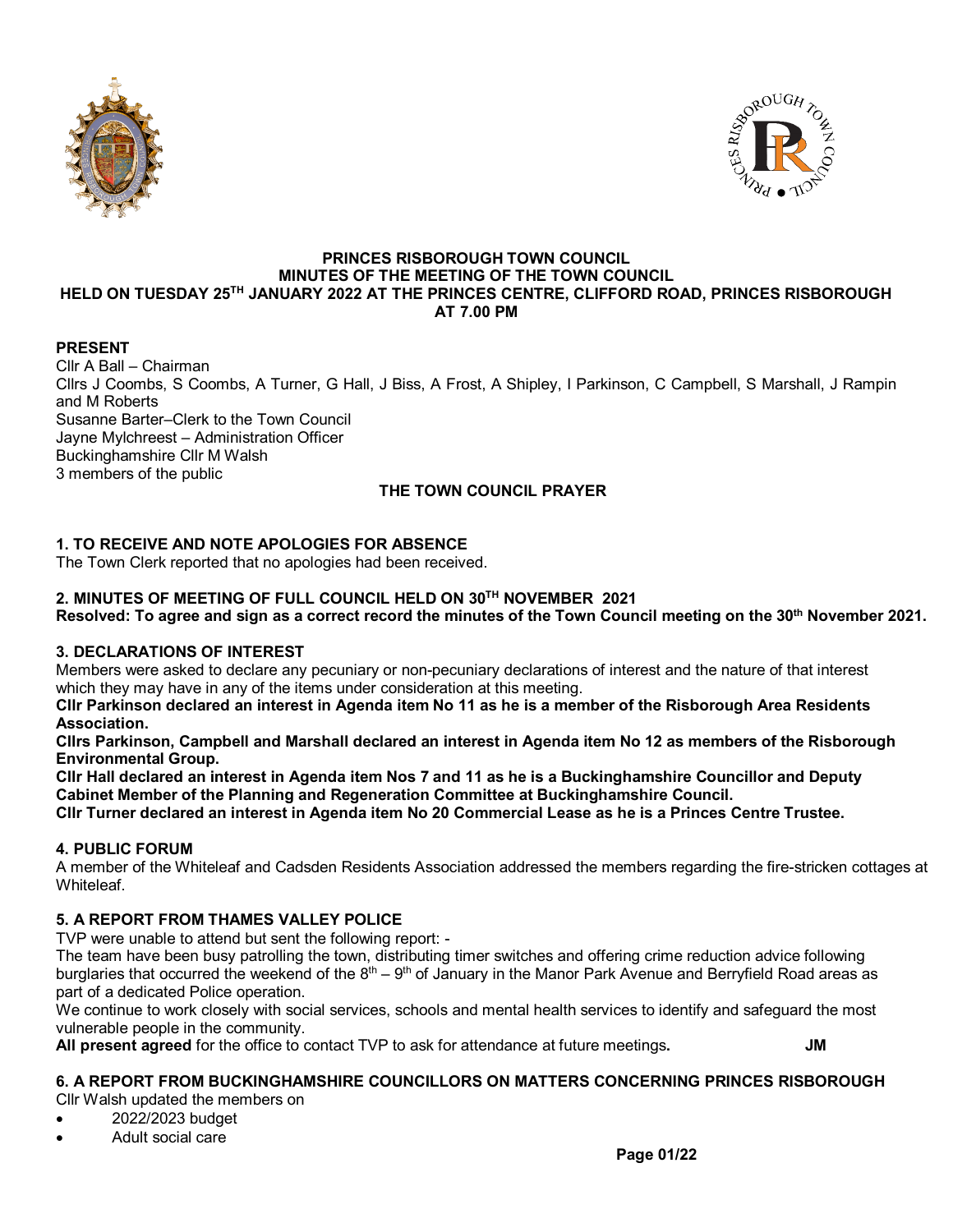



#### **PRINCES RISBOROUGH TOWN COUNCIL MINUTES OF THE MEETING OF THE TOWN COUNCIL HELD ON TUESDAY 25TH JANUARY 2022 AT THE PRINCES CENTRE, CLIFFORD ROAD, PRINCES RISBOROUGH AT 7.00 PM**

# **PRESENT**

Cllr A Ball – Chairman Cllrs J Coombs, S Coombs, A Turner, G Hall, J Biss, A Frost, A Shipley, I Parkinson, C Campbell, S Marshall, J Rampin and M Roberts Susanne Barter–Clerk to the Town Council Jayne Mylchreest – Administration Officer Buckinghamshire Cllr M Walsh 3 members of the public **THE TOWN COUNCIL PRAYER**

**1. TO RECEIVE AND NOTE APOLOGIES FOR ABSENCE** The Town Clerk reported that no apologies had been received.

## **2. MINUTES OF MEETING OF FULL COUNCIL HELD ON 30TH NOVEMBER 2021**

**Resolved: To agree and sign as a correct record the minutes of the Town Council meeting on the 30th November 2021.**

## **3. DECLARATIONS OF INTEREST**

Members were asked to declare any pecuniary or non-pecuniary declarations of interest and the nature of that interest which they may have in any of the items under consideration at this meeting.

**Cllr Parkinson declared an interest in Agenda item No 11 as he is a member of the Risborough Area Residents Association.**

**Cllrs Parkinson, Campbell and Marshall declared an interest in Agenda item No 12 as members of the Risborough Environmental Group.**

**Cllr Hall declared an interest in Agenda item Nos 7 and 11 as he is a Buckinghamshire Councillor and Deputy Cabinet Member of the Planning and Regeneration Committee at Buckinghamshire Council. Cllr Turner declared an interest in Agenda item No 20 Commercial Lease as he is a Princes Centre Trustee.**

## **4. PUBLIC FORUM**

A member of the Whiteleaf and Cadsden Residents Association addressed the members regarding the fire-stricken cottages at Whiteleaf.

## **5. A REPORT FROM THAMES VALLEY POLICE**

TVP were unable to attend but sent the following report: -

The team have been busy patrolling the town, distributing timer switches and offering crime reduction advice following burglaries that occurred the weekend of the  $8<sup>th</sup> - 9<sup>th</sup>$  of January in the Manor Park Avenue and Berryfield Road areas as part of a dedicated Police operation.

We continue to work closely with social services, schools and mental health services to identify and safeguard the most vulnerable people in the community.

**All present agreed** for the office to contact TVP to ask for attendance at future meetings**. JM**

# **6. A REPORT FROM BUCKINGHAMSHIRE COUNCILLORS ON MATTERS CONCERNING PRINCES RISBOROUGH**

- Cllr Walsh updated the members on
- 2022/2023 budget
- Adult social care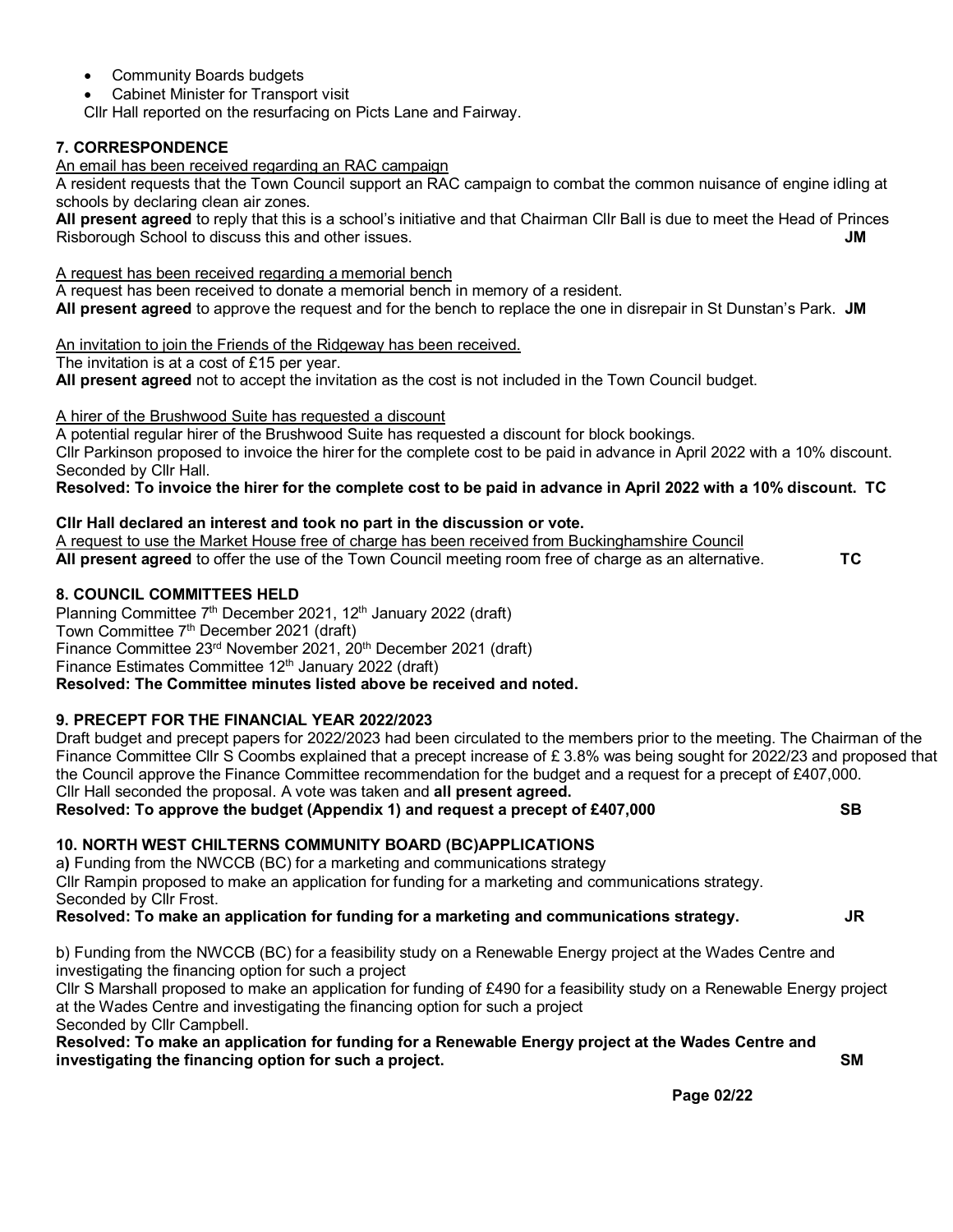- Community Boards budgets
- Cabinet Minister for Transport visit

Cllr Hall reported on the resurfacing on Picts Lane and Fairway.

## **7. CORRESPONDENCE**

An email has been received regarding an RAC campaign

A resident requests that the Town Council support an RAC campaign to combat the common nuisance of engine idling at schools by declaring clean air zones.

**All present agreed** to reply that this is a school's initiative and that Chairman Cllr Ball is due to meet the Head of Princes Risborough School to discuss this and other issues. **JM**

## A request has been received regarding a memorial bench

A request has been received to donate a memorial bench in memory of a resident.

**All present agreed** to approve the request and for the bench to replace the one in disrepair in St Dunstan's Park. **JM**

An invitation to join the Friends of the Ridgeway has been received.

The invitation is at a cost of £15 per year.

**All present agreed** not to accept the invitation as the cost is not included in the Town Council budget.

A hirer of the Brushwood Suite has requested a discount

A potential regular hirer of the Brushwood Suite has requested a discount for block bookings.

Cllr Parkinson proposed to invoice the hirer for the complete cost to be paid in advance in April 2022 with a 10% discount. Seconded by Cllr Hall.

## **Resolved: To invoice the hirer for the complete cost to be paid in advance in April 2022 with a 10% discount. TC**

## **Cllr Hall declared an interest and took no part in the discussion or vote.**

A request to use the Market House free of charge has been received from Buckinghamshire Council **All present agreed** to offer the use of the Town Council meeting room free of charge as an alternative. **TC** 

## **8. COUNCIL COMMITTEES HELD**

Planning Committee 7<sup>th</sup> December 2021, 12<sup>th</sup> January 2022 (draft) Town Committee 7<sup>th</sup> December 2021 (draft) Finance Committee 23<sup>rd</sup> November 2021, 20<sup>th</sup> December 2021 (draft) Finance Estimates Committee 12<sup>th</sup> January 2022 (draft) **Resolved: The Committee minutes listed above be received and noted.**

# **9. PRECEPT FOR THE FINANCIAL YEAR 2022/2023**

Draft budget and precept papers for 2022/2023 had been circulated to the members prior to the meeting. The Chairman of the Finance Committee Cllr S Coombs explained that a precept increase of £ 3.8% was being sought for 2022/23 and proposed that the Council approve the Finance Committee recommendation for the budget and a request for a precept of £407,000. Cllr Hall seconded the proposal. A vote was taken and **all present agreed.** 

# **Resolved: To approve the budget (Appendix 1) and request a precept of £407,000 SB**

# **10. NORTH WEST CHILTERNS COMMUNITY BOARD (BC)APPLICATIONS**

a**)** Funding from the NWCCB (BC) for a marketing and communications strategy Cllr Rampin proposed to make an application for funding for a marketing and communications strategy. Seconded by Cllr Frost.

**Resolved: To make an application for funding for a marketing and communications strategy. JR**

b) Funding from the NWCCB (BC) for a feasibility study on a Renewable Energy project at the Wades Centre and investigating the financing option for such a project

Cllr S Marshall proposed to make an application for funding of £490 for a feasibility study on a Renewable Energy project at the Wades Centre and investigating the financing option for such a project Seconded by Cllr Campbell.

#### **Resolved: To make an application for funding for a Renewable Energy project at the Wades Centre and investigating the financing option for such a project. SM**

 **Page 02/22**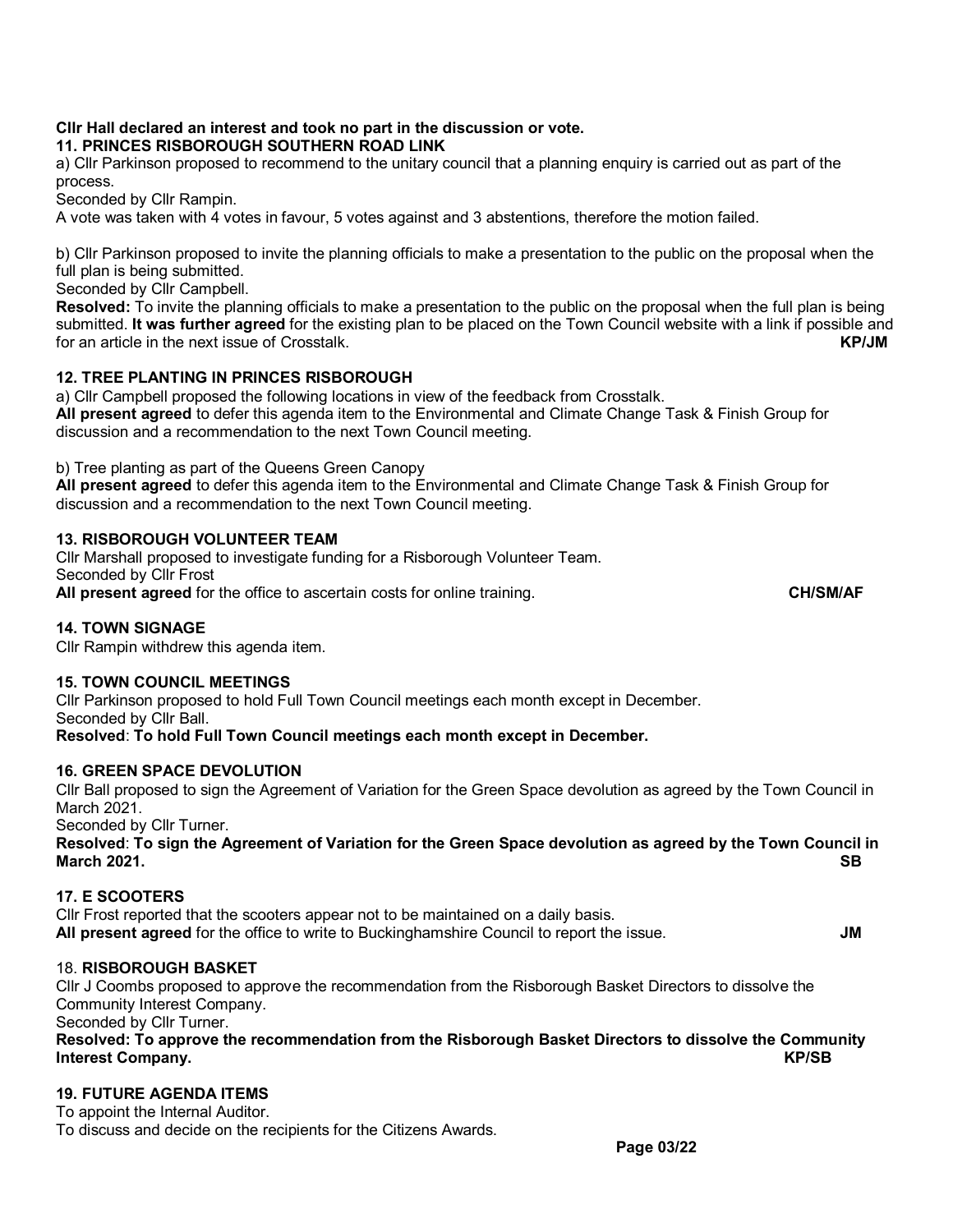#### **Cllr Hall declared an interest and took no part in the discussion or vote. 11. PRINCES RISBOROUGH SOUTHERN ROAD LINK**

a) Cllr Parkinson proposed to recommend to the unitary council that a planning enquiry is carried out as part of the process.

Seconded by Cllr Rampin.

A vote was taken with 4 votes in favour, 5 votes against and 3 abstentions, therefore the motion failed.

b) Cllr Parkinson proposed to invite the planning officials to make a presentation to the public on the proposal when the full plan is being submitted.

Seconded by Cllr Campbell.

**Resolved:** To invite the planning officials to make a presentation to the public on the proposal when the full plan is being submitted. **It was further agreed** for the existing plan to be placed on the Town Council website with a link if possible and for an article in the next issue of Crosstalk.

# **12. TREE PLANTING IN PRINCES RISBOROUGH**

a) Cllr Campbell proposed the following locations in view of the feedback from Crosstalk.

**All present agreed** to defer this agenda item to the Environmental and Climate Change Task & Finish Group for discussion and a recommendation to the next Town Council meeting.

b) Tree planting as part of the Queens Green Canopy

**All present agreed** to defer this agenda item to the Environmental and Climate Change Task & Finish Group for discussion and a recommendation to the next Town Council meeting.

## **13. RISBOROUGH VOLUNTEER TEAM**

Cllr Marshall proposed to investigate funding for a Risborough Volunteer Team. Seconded by Cllr Frost **All present agreed** for the office to ascertain costs for online training. **CH/SM/AF**

# **14. TOWN SIGNAGE**

Cllr Rampin withdrew this agenda item.

## **15. TOWN COUNCIL MEETINGS**

Cllr Parkinson proposed to hold Full Town Council meetings each month except in December. Seconded by Cllr Ball.

**Resolved**: **To hold Full Town Council meetings each month except in December.**

## **16. GREEN SPACE DEVOLUTION**

Cllr Ball proposed to sign the Agreement of Variation for the Green Space devolution as agreed by the Town Council in March 2021.

Seconded by Cllr Turner.

**Resolved**: **To sign the Agreement of Variation for the Green Space devolution as agreed by the Town Council in March 2021. SB**

## **17. E SCOOTERS**

Cllr Frost reported that the scooters appear not to be maintained on a daily basis. **All present agreed** for the office to write to Buckinghamshire Council to report the issue. **JM**

## 18. **RISBOROUGH BASKET**

Cllr J Coombs proposed to approve the recommendation from the Risborough Basket Directors to dissolve the Community Interest Company.

Seconded by Cllr Turner.

## **Resolved: To approve the recommendation from the Risborough Basket Directors to dissolve the Community Interest Company.**

# **19. FUTURE AGENDA ITEMS**

To appoint the Internal Auditor.

To discuss and decide on the recipients for the Citizens Awards.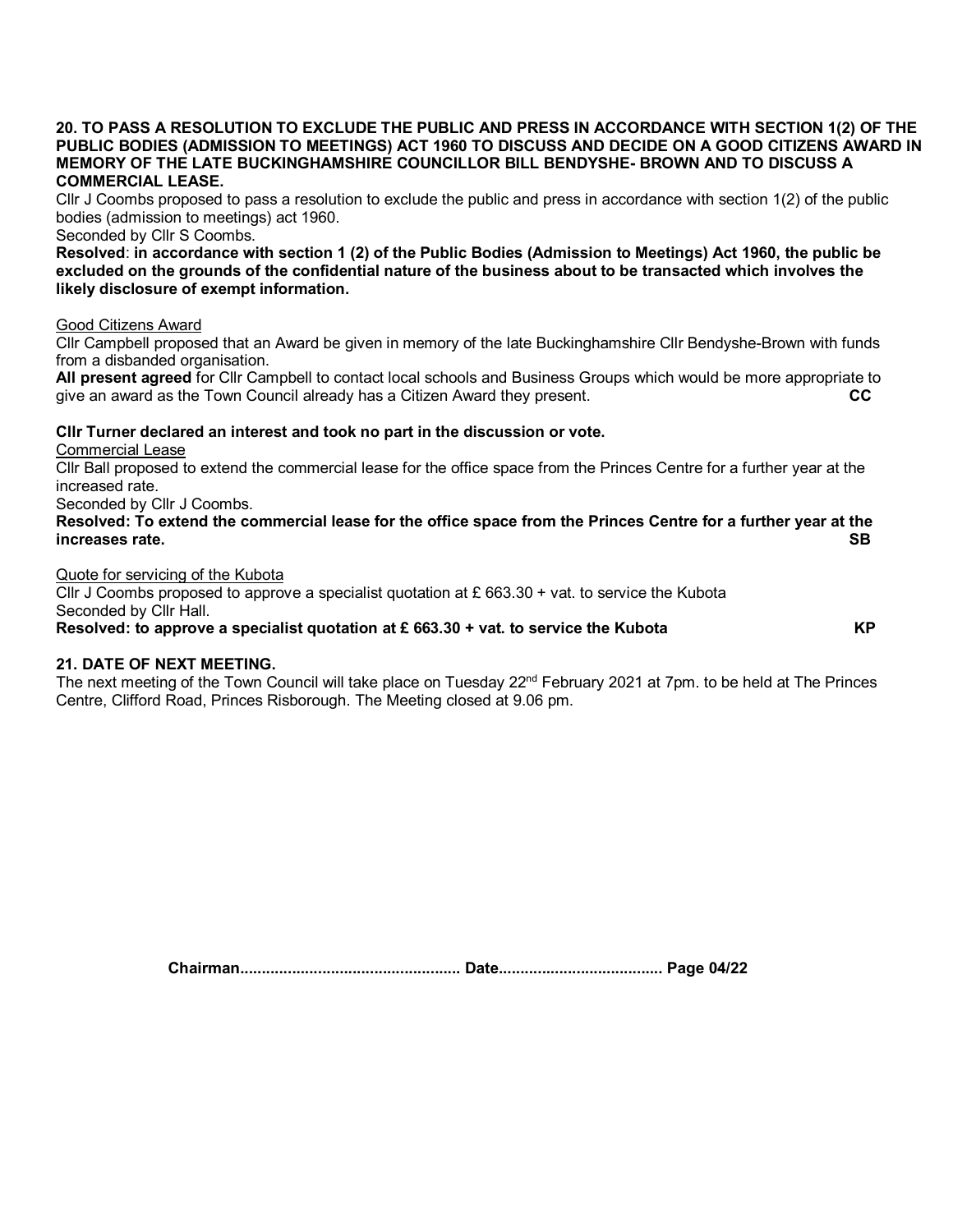#### **20. TO PASS A RESOLUTION TO EXCLUDE THE PUBLIC AND PRESS IN ACCORDANCE WITH SECTION 1(2) OF THE PUBLIC BODIES (ADMISSION TO MEETINGS) ACT 1960 TO DISCUSS AND DECIDE ON A GOOD CITIZENS AWARD IN MEMORY OF THE LATE BUCKINGHAMSHIRE COUNCILLOR BILL BENDYSHE- BROWN AND TO DISCUSS A COMMERCIAL LEASE.**

Cllr J Coombs proposed to pass a resolution to exclude the public and press in accordance with section 1(2) of the public bodies (admission to meetings) act 1960.

Seconded by Cllr S Coombs.

**Resolved**: **in accordance with section 1 (2) of the Public Bodies (Admission to Meetings) Act 1960, the public be excluded on the grounds of the confidential nature of the business about to be transacted which involves the likely disclosure of exempt information.**

#### Good Citizens Award

Cllr Campbell proposed that an Award be given in memory of the late Buckinghamshire Cllr Bendyshe-Brown with funds from a disbanded organisation.

**All present agreed** for Cllr Campbell to contact local schools and Business Groups which would be more appropriate to give an award as the Town Council already has a Citizen Award they present.

#### **Cllr Turner declared an interest and took no part in the discussion or vote.**

Commercial Lease

Cllr Ball proposed to extend the commercial lease for the office space from the Princes Centre for a further year at the increased rate.

Seconded by Cllr J Coombs.

**Resolved: To extend the commercial lease for the office space from the Princes Centre for a further year at the increases rate. SB**

#### Quote for servicing of the Kubota

Cllr J Coombs proposed to approve a specialist quotation at  $E$  663.30 + vat. to service the Kubota Seconded by Cllr Hall.

#### **Resolved: to approve a specialist quotation at £ 663.30 + vat. to service the Kubota** KP

#### **21. DATE OF NEXT MEETING.**

The next meeting of the Town Council will take place on Tuesday 22<sup>nd</sup> February 2021 at 7pm. to be held at The Princes Centre, Clifford Road, Princes Risborough. The Meeting closed at 9.06 pm.

**Chairman................................................... Date...................................... Page 04/22**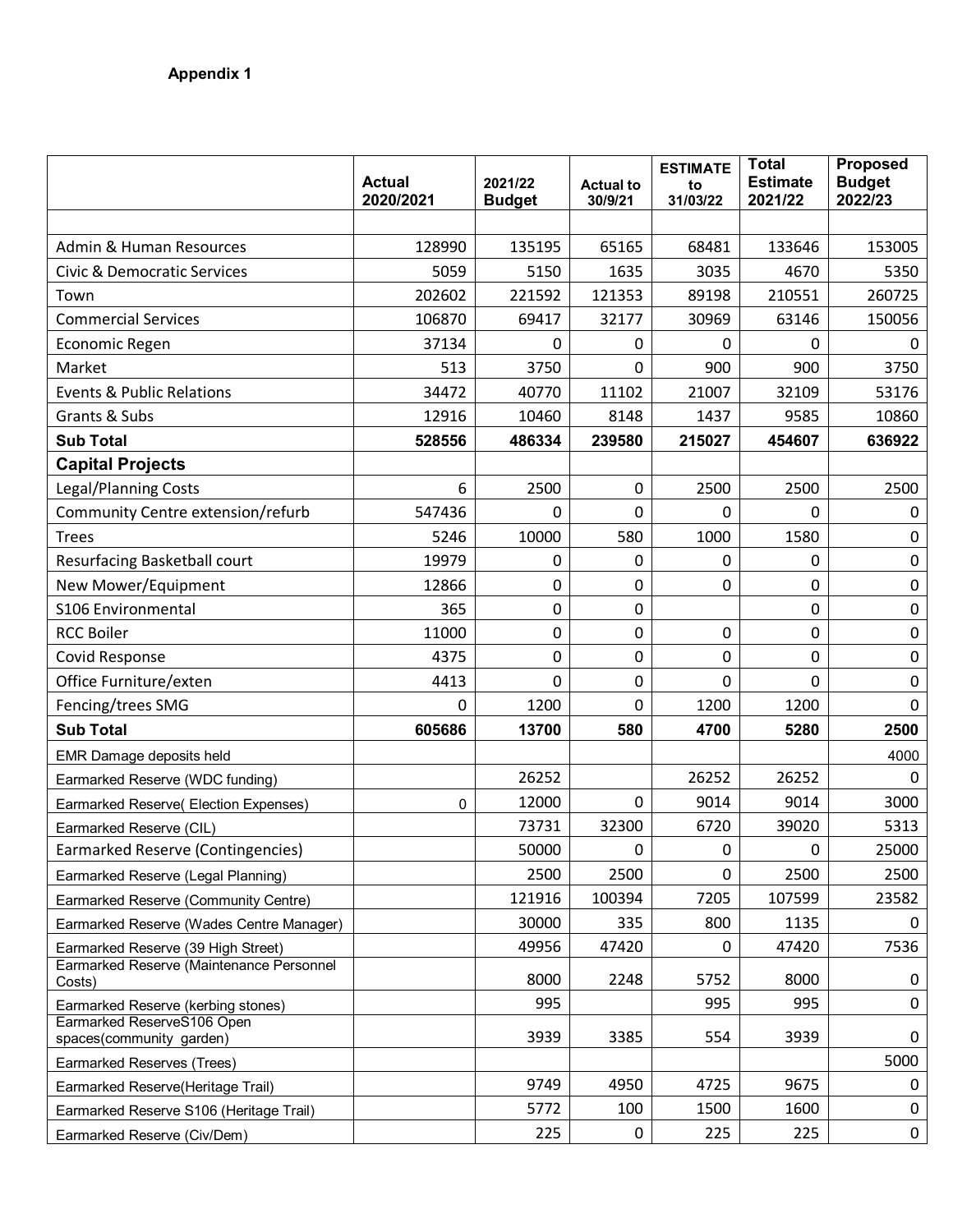|                                                        | <b>Actual</b><br>2020/2021 | 2021/22<br><b>Budget</b> | <b>Actual to</b><br>30/9/21 | <b>ESTIMATE</b><br>to<br>31/03/22 | <b>Total</b><br><b>Estimate</b><br>2021/22 | <b>Proposed</b><br><b>Budget</b><br>2022/23 |
|--------------------------------------------------------|----------------------------|--------------------------|-----------------------------|-----------------------------------|--------------------------------------------|---------------------------------------------|
|                                                        |                            |                          |                             |                                   |                                            |                                             |
| <b>Admin &amp; Human Resources</b>                     | 128990                     | 135195                   | 65165                       | 68481                             | 133646                                     | 153005                                      |
| <b>Civic &amp; Democratic Services</b>                 | 5059                       | 5150                     | 1635                        | 3035                              | 4670                                       | 5350                                        |
| Town                                                   | 202602                     | 221592                   | 121353                      | 89198                             | 210551                                     | 260725                                      |
| <b>Commercial Services</b>                             | 106870                     | 69417                    | 32177                       | 30969                             | 63146                                      | 150056                                      |
| Economic Regen                                         | 37134                      | 0                        | $\mathbf 0$                 | 0                                 | 0                                          | 0                                           |
| Market                                                 | 513                        | 3750                     | 0                           | 900                               | 900                                        | 3750                                        |
| <b>Events &amp; Public Relations</b>                   | 34472                      | 40770                    | 11102                       | 21007                             | 32109                                      | 53176                                       |
| Grants & Subs                                          | 12916                      | 10460                    | 8148                        | 1437                              | 9585                                       | 10860                                       |
| <b>Sub Total</b>                                       | 528556                     | 486334                   | 239580                      | 215027                            | 454607                                     | 636922                                      |
| <b>Capital Projects</b>                                |                            |                          |                             |                                   |                                            |                                             |
| <b>Legal/Planning Costs</b>                            | 6                          | 2500                     | $\pmb{0}$                   | 2500                              | 2500                                       | 2500                                        |
| Community Centre extension/refurb                      | 547436                     | 0                        | 0                           | $\mathbf{0}$                      | 0                                          | 0                                           |
| <b>Trees</b>                                           | 5246                       | 10000                    | 580                         | 1000                              | 1580                                       | 0                                           |
| Resurfacing Basketball court                           | 19979                      | 0                        | 0                           | 0                                 | 0                                          | $\mathbf 0$                                 |
| New Mower/Equipment                                    | 12866                      | 0                        | 0                           | $\mathbf 0$                       | 0                                          | $\pmb{0}$                                   |
| S106 Environmental                                     | 365                        | 0                        | 0                           |                                   | 0                                          | 0                                           |
| <b>RCC Boiler</b>                                      | 11000                      | 0                        | 0                           | 0                                 | 0                                          | $\mathbf 0$                                 |
| <b>Covid Response</b>                                  | 4375                       | 0                        | $\mathbf 0$                 | $\mathbf 0$                       | 0                                          | $\pmb{0}$                                   |
| Office Furniture/exten                                 | 4413                       | 0                        | 0                           | $\mathbf 0$                       | $\mathbf 0$                                | $\mathbf 0$                                 |
| Fencing/trees SMG                                      | 0                          | 1200                     | 0                           | 1200                              | 1200                                       | $\mathbf 0$                                 |
| <b>Sub Total</b>                                       | 605686                     | 13700                    | 580                         | 4700                              | 5280                                       | 2500                                        |
| EMR Damage deposits held                               |                            |                          |                             |                                   |                                            | 4000                                        |
| Earmarked Reserve (WDC funding)                        |                            | 26252                    |                             | 26252                             | 26252                                      | 0                                           |
| Earmarked Reserve( Election Expenses)                  | $\mathbf 0$                | 12000                    | 0                           | 9014                              | 9014                                       | 3000                                        |
| Earmarked Reserve (CIL)                                |                            | 73731                    | 32300                       | 6720                              | 39020                                      | 5313                                        |
| Earmarked Reserve (Contingencies)                      |                            | 50000                    | 0                           | $\pmb{0}$                         | 0                                          | 25000                                       |
| Earmarked Reserve (Legal Planning)                     |                            | 2500                     | 2500                        | 0                                 | 2500                                       | 2500                                        |
| Earmarked Reserve (Community Centre)                   |                            | 121916                   | 100394                      | 7205                              | 107599                                     | 23582                                       |
| Earmarked Reserve (Wades Centre Manager)               |                            | 30000                    | 335                         | 800                               | 1135                                       | 0                                           |
| Earmarked Reserve (39 High Street)                     |                            | 49956                    | 47420                       | 0                                 | 47420                                      | 7536                                        |
| Earmarked Reserve (Maintenance Personnel<br>Costs)     |                            | 8000                     | 2248                        | 5752                              | 8000                                       | 0                                           |
| Earmarked Reserve (kerbing stones)                     |                            | 995                      |                             | 995                               | 995                                        | 0                                           |
| Earmarked ReserveS106 Open<br>spaces(community garden) |                            | 3939                     | 3385                        | 554                               | 3939                                       | 0                                           |
| Earmarked Reserves (Trees)                             |                            |                          |                             |                                   |                                            | 5000                                        |
| Earmarked Reserve(Heritage Trail)                      |                            | 9749                     | 4950                        | 4725                              | 9675                                       | 0                                           |
| Earmarked Reserve S106 (Heritage Trail)                |                            | 5772                     | 100                         | 1500                              | 1600                                       | 0                                           |
| Earmarked Reserve (Civ/Dem)                            |                            | 225                      | 0                           | 225                               | 225                                        | 0                                           |